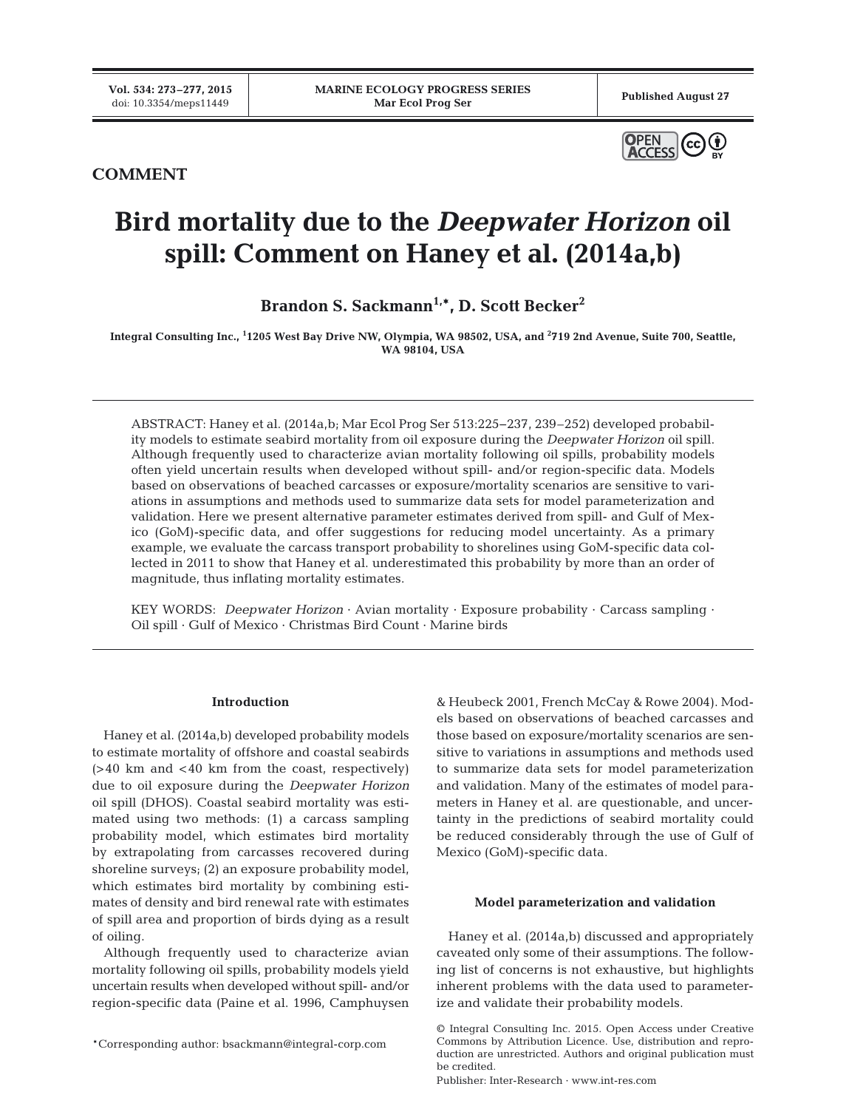

# **COMMENT**

# **Bird mortality due to the** *Deepwater Horizon* **oil spill: Comment on Haney et al. (2014a,b)**

Brandon S. Sackmann<sup>1,\*</sup>, D. Scott Becker<sup>2</sup>

**Integral Consulting Inc., 1 1205 West Bay Drive NW, Olympia, WA 98502, USA, and 2 719 2nd Avenue, Suite 700, Seattle, WA 98104, USA**

ABSTRACT: Haney et al. (2014a,b; Mar Ecol Prog Ser 513:225−237, 239–252) developed probability models to estimate seabird mortality from oil exposure during the *Deepwater Horizon* oil spill. Although frequently used to characterize avian mortality following oil spills, probability models often yield uncertain results when developed without spill- and/or region-specific data. Models based on observations of beached carcasses or exposure/mortality scenarios are sensitive to variations in assumptions and methods used to summarize data sets for model parameterization and validation. Here we present alternative parameter estimates derived from spill- and Gulf of Mexico (GoM)-specific data, and offer suggestions for reducing model uncertainty. As a primary example, we evaluate the carcass transport probability to shorelines using GoM-specific data collected in 2011 to show that Haney et al. underestimated this probability by more than an order of magnitude, thus inflating mortality estimates.

KEY WORDS: *Deepwater Horizon* · Avian mortality · Exposure probability · Carcass sampling · Oil spill · Gulf of Mexico · Christmas Bird Count · Marine birds

#### **Introduction**

Haney et al. (2014a,b) developed probability models to estimate mortality of offshore and coastal seabirds (>40 km and <40 km from the coast, respectively) due to oil exposure during the *Deepwater Horizon* oil spill (DHOS). Coastal seabird mortality was estimated using two methods: (1) a carcass sampling probability model, which estimates bird mortality by extrapolating from carcasses recovered during shoreline surveys; (2) an exposure probability model, which estimates bird mortality by combining estimates of density and bird renewal rate with estimates of spill area and proportion of birds dying as a result of oiling.

Although frequently used to characterize avian mortality following oil spills, probability models yield uncertain results when developed without spill- and/or region-specific data (Paine et al. 1996, Camphuysen

\*Corresponding author: bsackmann@integral-corp.com

& Heubeck 2001, French McCay & Rowe 2004). Models based on observations of beached carcasses and those based on exposure/mortality scenarios are sensitive to variations in assumptions and methods used to summarize data sets for model parameterization and validation. Many of the estimates of model para meters in Haney et al. are questionable, and uncertainty in the predictions of seabird mortality could be reduced considerably through the use of Gulf of Mexico (GoM)-specific data.

## **Model parameterization and validation**

Haney et al. (2014a,b) discussed and appropriately caveated only some of their assumptions. The following list of concerns is not exhaustive, but highlights inherent problems with the data used to parameterize and validate their probability models.

Publisher: Inter-Research · www.int-res.com

<sup>©</sup> Integral Consulting Inc. 2015. Open Access under Creative Commons by Attribution Licence. Use, distribution and reproduction are unrestricted. Authors and original publication must be credited.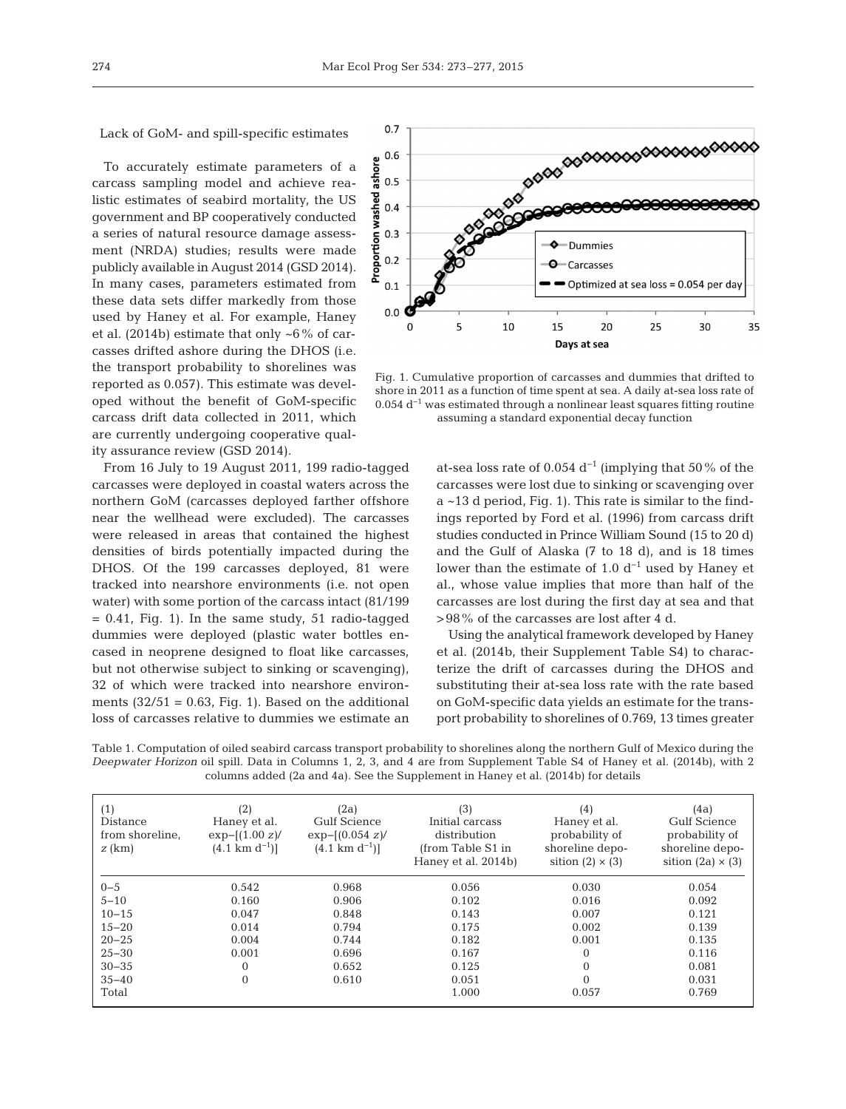Lack of GoM- and spill-specific estimates

To accurately estimate parameters of a carcass sampling model and achieve realistic estimates of seabird mortality, the US government and BP cooperatively conducted a series of natural resource damage assessment (NRDA) studies; results were made publicly available in August 2014 (GSD 2014). In many cases, parameters estimated from these data sets differ markedly from those used by Haney et al. For example, Haney et al. (2014b) estimate that only  $\sim 6\%$  of carcasses drifted ashore during the DHOS (i.e. the transport probability to shorelines was reported as 0.057). This estimate was developed without the benefit of GoM-specific carcass drift data collected in 2011, which are currently undergoing cooperative quality assurance review (GSD 2014).

From 16 July to 19 August 2011, 199 radio-tagged carcasses were deployed in coastal waters across the northern GoM (carcasses deployed farther offshore near the wellhead were excluded). The carcasses were released in areas that contained the highest densities of birds potentially impacted during the DHOS. Of the 199 carcasses deployed, 81 were tracked into nearshore environments (i.e. not open water) with some portion of the carcass intact (81/199  $= 0.41$ , Fig. 1). In the same study, 51 radio-tagged dummies were deployed (plastic water bottles encased in neoprene designed to float like carcasses, but not otherwise subject to sinking or scavenging), 32 of which were tracked into nearshore environments  $(32/51 = 0.63, Fig. 1)$ . Based on the additional loss of carcasses relative to dummies we estimate an



Fig. 1. Cumulative proportion of carcasses and dummies that drifted to shore in 2011 as a function of time spent at sea. A daily at-sea loss rate of  $0.054~\mathrm{d^{-1}}$  was estimated through a nonlinear least squares fitting routine assuming a standard exponential decay function

at-sea loss rate of 0.054  $d^{-1}$  (implying that 50% of the carcasses were lost due to sinking or scavenging over a ~13 d period, Fig. 1). This rate is similar to the findings reported by Ford et al. (1996) from carcass drift studies conducted in Prince William Sound (15 to 20 d) and the Gulf of Alaska (7 to 18 d), and is 18 times lower than the estimate of 1.0  $d^{-1}$  used by Haney et al., whose value implies that more than half of the carcasses are lost during the first day at sea and that >98% of the carcasses are lost after 4 d.

Using the analytical framework developed by Haney et al. (2014b, their Supplement Table S4) to characterize the drift of carcasses during the DHOS and substituting their at-sea loss rate with the rate based on GoM-specific data yields an estimate for the transport probability to shorelines of 0.769, 13 times greater

Table 1. Computation of oiled seabird carcass transport probability to shorelines along the northern Gulf of Mexico during the *Deepwater Horizon* oil spill. Data in Columns 1, 2, 3, and 4 are from Supplement Table S4 of Haney et al. (2014b), with 2 columns added (2a and 4a). See the Supplement in Haney et al. (2014b) for details

| (1)<br>Distance<br>from shoreline,<br>$z$ (km) | (2)<br>Haney et al.<br>$exp-[ (1.00 z) /$<br>$(4.1 \text{ km d}^{-1})$ | (2a)<br><b>Gulf Science</b><br>$exp-[ (0.054 z) /$<br>$(4.1 \text{ km d}^{-1})$ | (3)<br>Initial carcass<br>distribution<br>(from Table S1 in<br>Haney et al. 2014b) | (4)<br>Haney et al.<br>probability of<br>shoreline depo-<br>sition $(2) \times (3)$ | (4a)<br><b>Gulf Science</b><br>probability of<br>shoreline depo-<br>sition $(2a) \times (3)$ |
|------------------------------------------------|------------------------------------------------------------------------|---------------------------------------------------------------------------------|------------------------------------------------------------------------------------|-------------------------------------------------------------------------------------|----------------------------------------------------------------------------------------------|
| $0 - 5$                                        | 0.542                                                                  | 0.968                                                                           | 0.056                                                                              | 0.030                                                                               | 0.054                                                                                        |
| $5 - 10$                                       | 0.160                                                                  | 0.906                                                                           | 0.102                                                                              | 0.016                                                                               | 0.092                                                                                        |
| $10 - 15$                                      | 0.047                                                                  | 0.848                                                                           | 0.143                                                                              | 0.007                                                                               | 0.121                                                                                        |
| $15 - 20$                                      | 0.014                                                                  | 0.794                                                                           | 0.175                                                                              | 0.002                                                                               | 0.139                                                                                        |
| $20 - 25$                                      | 0.004                                                                  | 0.744                                                                           | 0.182                                                                              | 0.001                                                                               | 0.135                                                                                        |
| $25 - 30$                                      | 0.001                                                                  | 0.696                                                                           | 0.167                                                                              | $\Omega$                                                                            | 0.116                                                                                        |
| $30 - 35$                                      | $\Omega$                                                               | 0.652                                                                           | 0.125                                                                              | $\mathbf{0}$                                                                        | 0.081                                                                                        |
| $35 - 40$                                      | $\Omega$                                                               | 0.610                                                                           | 0.051                                                                              | $\Omega$                                                                            | 0.031                                                                                        |
| Total                                          |                                                                        |                                                                                 | 1.000                                                                              | 0.057                                                                               | 0.769                                                                                        |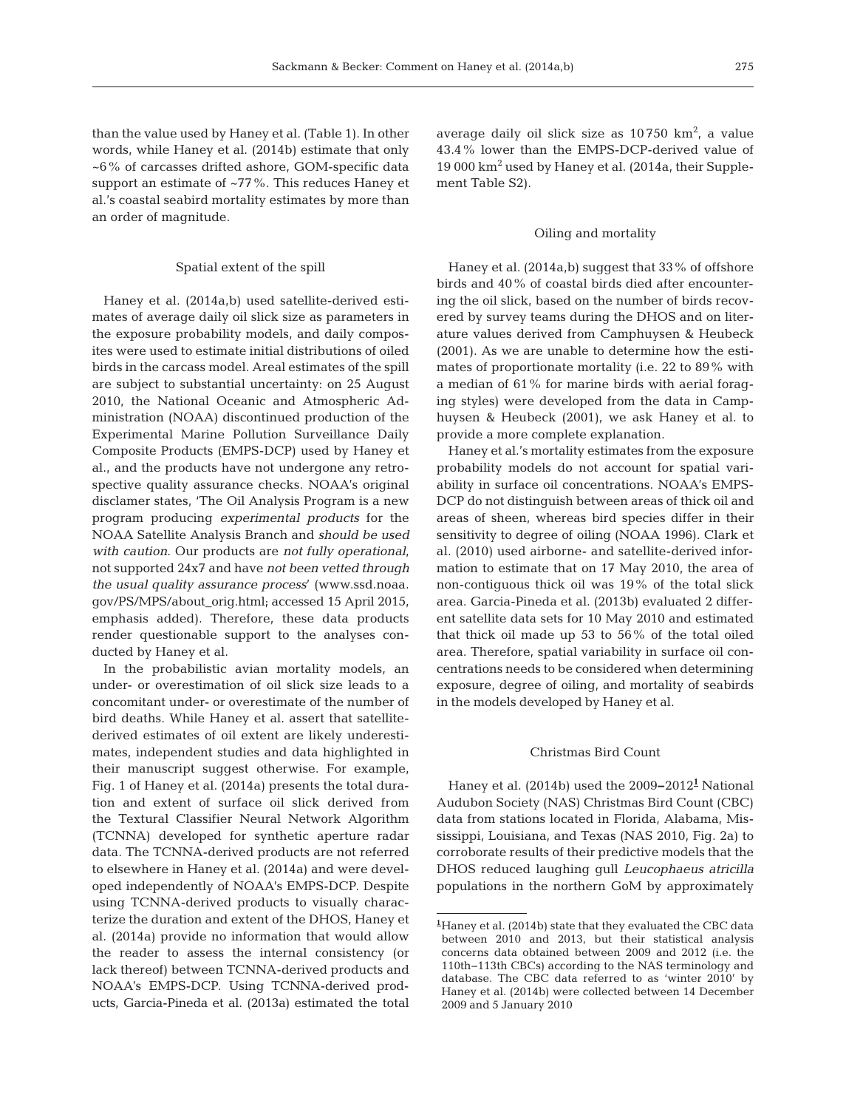than the value used by Haney et al. (Table 1). In other words, while Haney et al. (2014b) estimate that only ~6% of carcasses drifted ashore, GOM-specific data support an estimate of  $~27\%$ . This reduces Haney et al.'s coastal seabird mortality estimates by more than an order of magnitude.

#### Spatial extent of the spill

Haney et al. (2014a,b) used satellite-derived estimates of average daily oil slick size as parameters in the exposure probability models, and daily composites were used to estimate initial distributions of oiled birds in the carcass model. Areal estimates of the spill are subject to substantial uncertainty: on 25 August 2010, the National Oceanic and Atmospheric Administration (NOAA) discontinued production of the Experimental Marine Pollution Surveillance Daily Composite Products (EMPS-DCP) used by Haney et al., and the products have not undergone any retrospective quality assurance checks. NOAA's original disclamer states, 'The Oil Analysis Program is a new program producing *experimental products* for the NOAA Satellite Analysis Branch and *should be used with caution*. Our products are *not fully operational*, not supported 24x7 and have *not been vetted through the usual quality assurance process*' (www.ssd. noaa. gov/PS/MPS/about\_orig.html; accessed 15 April 2015, emphasis added). Therefore, these data products render questionable support to the analyses conducted by Haney et al.

In the probabilistic avian mortality models, an under- or overestimation of oil slick size leads to a concomitant under- or overestimate of the number of bird deaths. While Haney et al. assert that satellitederived estimates of oil extent are likely underestimates, independent studies and data highlighted in their manuscript suggest otherwise. For example, Fig. 1 of Haney et al. (2014a) presents the total duration and extent of surface oil slick derived from the Textural Classifier Neural Network Algorithm (TCNNA) developed for synthetic aperture radar data. The TCNNA-derived products are not referred to elsewhere in Haney et al. (2014a) and were developed independently of NOAA's EMPS-DCP. Despite using TCNNA-derived products to visually characterize the duration and extent of the DHOS, Haney et al. (2014a) provide no information that would allow the reader to assess the internal consistency (or lack thereof) between TCNNA-derived products and NOAA's EMPS-DCP. Using TCNNA-derived products, Garcia-Pineda et al. (2013a) estimated the total average daily oil slick size as  $10750 \text{ km}^2$ , a value 43.4% lower than the EMPS-DCP-derived value of 19 000 km<sup>2</sup> used by Haney et al. (2014a, their Supplement Table S2).

#### Oiling and mortality

Haney et al. (2014a,b) suggest that 33% of offshore birds and 40% of coastal birds died after encountering the oil slick, based on the number of birds recovered by survey teams during the DHOS and on literature values derived from Camphuysen & Heubeck (2001). As we are unable to determine how the estimates of proportionate mortality (i.e. 22 to 89% with a median of 61% for marine birds with aerial foraging styles) were developed from the data in Camphuysen & Heubeck (2001), we ask Haney et al. to provide a more complete explanation.

Haney et al.'s mortality estimates from the exposure probability models do not account for spatial variability in surface oil concentrations. NOAA's EMPS-DCP do not distinguish between areas of thick oil and areas of sheen, whereas bird species differ in their sensitivity to degree of oiling (NOAA 1996). Clark et al. (2010) used airborne- and satellite-derived information to estimate that on 17 May 2010, the area of non-contiguous thick oil was 19% of the total slick area. Garcia-Pineda et al. (2013b) evaluated 2 different satellite data sets for 10 May 2010 and estimated that thick oil made up 53 to 56% of the total oiled area. Therefore, spatial variability in surface oil concentrations needs to be considered when determining exposure, degree of oiling, and mortality of seabirds in the models developed by Haney et al.

# Christmas Bird Count

Haney et al. (2014b) used the 2009**−**2012**<sup>1</sup>** National Audubon Society (NAS) Christmas Bird Count (CBC) data from stations located in Florida, Alabama, Mississippi, Louisiana, and Texas (NAS 2010, Fig. 2a) to corroborate results of their predictive models that the DHOS reduced laughing gull *Leucophaeus atricilla* populations in the northern GoM by approximately

**<sup>1</sup>**Haney et al. (2014b) state that they evaluated the CBC data between 2010 and 2013, but their statistical analysis concerns data obtained between 2009 and 2012 (i.e. the 110th−113th CBCs) according to the NAS terminology and database. The CBC data referred to as 'winter 2010' by Haney et al. (2014b) were collected between 14 December 2009 and 5 January 2010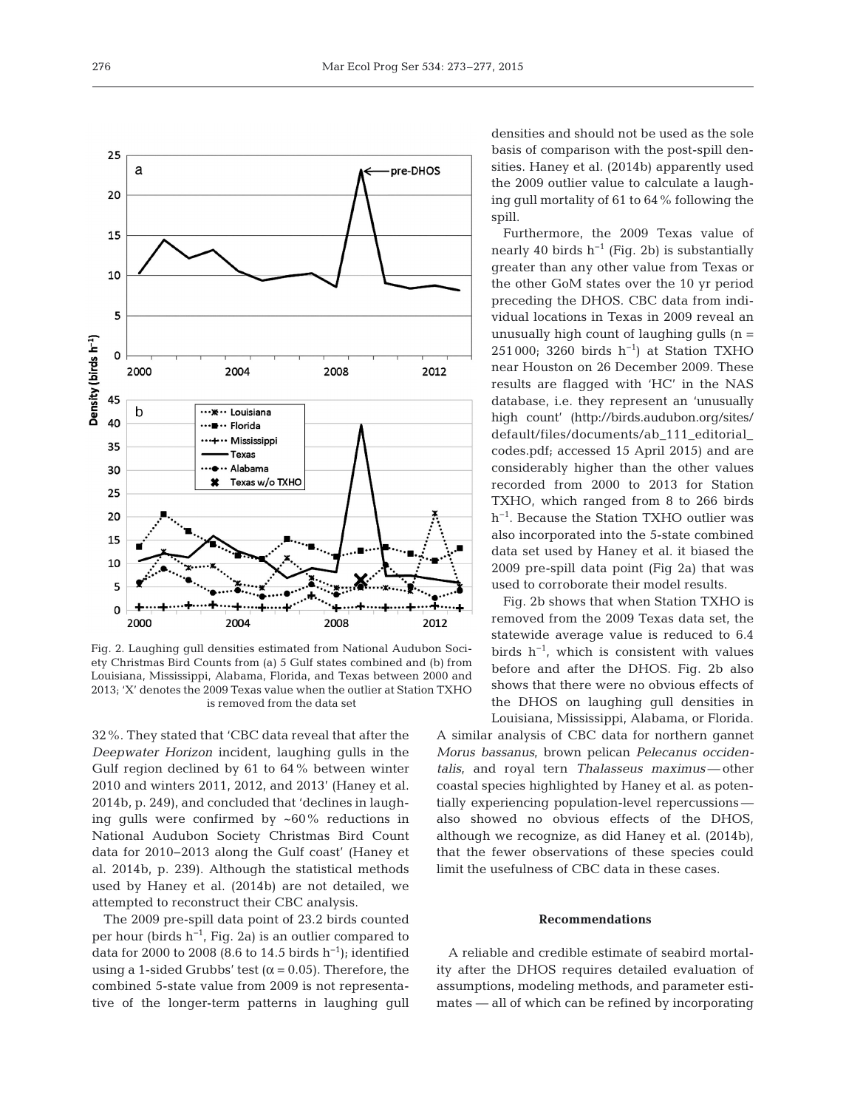

Fig. 2. Laughing gull densities estimated from National Audubon Society Christmas Bird Counts from (a) 5 Gulf states combined and (b) from Louisiana, Mississippi, Alabama, Florida, and Texas between 2000 and 2013; 'X' denotes the 2009 Texas value when the outlier at Station TXHO is removed from the data set

32%. They stated that 'CBC data reveal that after the *Deepwater Horizon* incident, laughing gulls in the Gulf region declined by 61 to 64% between winter 2010 and winters 2011, 2012, and 2013' (Haney et al. 2014b, p. 249), and concluded that 'declines in laughing gulls were confirmed by ~60% reductions in National Audubon Society Christmas Bird Count data for 2010−2013 along the Gulf coast' (Haney et al. 2014b, p. 239). Although the statistical methods used by Haney et al. (2014b) are not detailed, we attempted to reconstruct their CBC analysis.

The 2009 pre-spill data point of 23.2 birds counted per hour (birds  $h^{-1}$ , Fig. 2a) is an outlier compared to data for 2000 to 2008 (8.6 to 14.5 birds h<sup>-1</sup>); identified using a 1-sided Grubbs' test ( $\alpha$  = 0.05). Therefore, the combined 5-state value from 2009 is not representative of the longer-term patterns in laughing gull densities and should not be used as the sole basis of comparison with the post-spill densities. Haney et al. (2014b) apparently used the 2009 outlier value to calculate a laughing gull mortality of 61 to 64% following the spill.

Furthermore, the 2009 Texas value of nearly 40 birds  $h^{-1}$  (Fig. 2b) is substantially greater than any other value from Texas or the other GoM states over the 10 yr period preceding the DHOS. CBC data from individual locations in Texas in 2009 reveal an unusually high count of laughing gulls  $(n =$ 251000; 3260 birds h<sup>-1</sup>) at Station TXHO near Houston on 26 December 2009. These results are flagged with 'HC' in the NAS database, i.e. they represent an 'unusually high count' (http://birds.audubon.org/sites/ default/files/documents/ab\_111\_editorial\_ codes.pdf; accessed 15 April 2015) and are considerably higher than the other values recorded from 2000 to 2013 for Station TXHO, which ranged from 8 to 266 birds h<sup>-1</sup>. Because the Station TXHO outlier was also incorporated into the 5-state combined data set used by Haney et al. it biased the 2009 pre-spill data point (Fig 2a) that was used to corroborate their model results.

Fig. 2b shows that when Station TXHO is removed from the 2009 Texas data set, the statewide average value is reduced to 6.4 birds h−1, which is consistent with values before and after the DHOS. Fig. 2b also shows that there were no obvious effects of the DHOS on laughing gull densities in Louisiana, Mississippi, Alabama, or Florida.

A similar analysis of CBC data for northern gannet Morus bassanus, brown pelican Pelecanus occiden*talis*, and royal tern *Thalasseus maximus*—other coastal species highlighted by Haney et al. as potentially experiencing population-level repercussions also showed no obvious effects of the DHOS, although we recognize, as did Haney et al. (2014b), that the fewer observations of these species could limit the usefulness of CBC data in these cases.

# **Recommendations**

A reliable and credible estimate of seabird mortality after the DHOS requires detailed evaluation of assumptions, modeling methods, and parameter estimates — all of which can be refined by incorporating